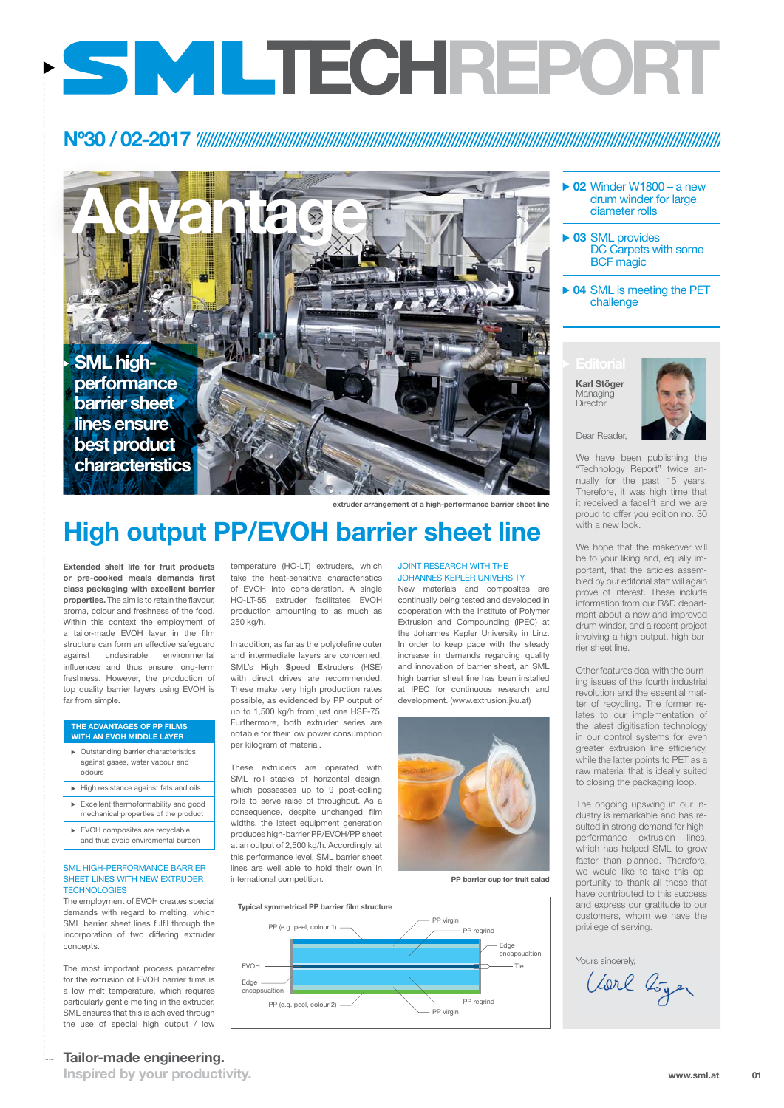**Inspired by your productivity.**



**Advantage**

Dear Reader,

We have been publishing the "Technology Report" twice annually for the past 15 years. Therefore, it was high time that it received a facelift and we are proud to offer you edition no. 30 with a new look.

We hope that the makeover will be to your liking and, equally important, that the articles assembled by our editorial staff will again prove of interest. These include information from our R&D department about a new and improved drum winder, and a recent project involving a high-output, high barrier sheet line.

**Karl Stöger Managing Director** 



Other features deal with the burning issues of the fourth industrial revolution and the essential matter of recycling. The former relates to our implementation of the latest digitisation technology in our control systems for even greater extrusion line efficiency, while the latter points to PET as a raw material that is ideally suited to closing the packaging loop.

#### SML high-performance barrier sheet lines with new extruder **TECHNOLOGIES**

The ongoing upswing in our industry is remarkable and has resulted in strong demand for highperformance extrusion lines, which has helped SML to grow faster than planned. Therefore, we would like to take this opportunity to thank all those that have contributed to this success and express our gratitude to our customers, whom we have the privilege of serving.

## **Editorial**

- **02** Winder W1800 a new drum winder for large diameter rolls
- **03** SML provides DC Carpets with some BCF magic
- **04** SML is meeting the PET challenge

### JOINT RESEARCH WITH THE Johannes Kepler University

**Extended shelf life for fruit products or pre-cooked meals demands first class packaging with excellent barrier properties.** The aim is to retain the flavour, aroma, colour and freshness of the food. Within this context the employment of a tailor-made EVOH layer in the film structure can form an effective safeguard against undesirable environmental influences and thus ensure long-term freshness. However, the production of top quality barrier layers using EVOH is far from simple.

- Outstanding barrier characteristics against gases, water vapour and odours
- $\blacktriangleright$  High resistance against fats and oils
- Excellent thermoformability and good mechanical properties of the product
- EVOH composites are recyclable

The employment of EVOH creates special demands with regard to melting, which SML barrier sheet lines fulfil through the incorporation of two differing extruder concepts.

> **01 www.sml.at**

The most important process parameter for the extrusion of EVOH barrier films is a low melt temperature, which requires particularly gentle melting in the extruder. SML ensures that this is achieved through the use of special high output / low

temperature (HO-LT) extruders, which take the heat-sensitive characteristics of EVOH into consideration. A single HO-LT-55 extruder facilitates EVOH production amounting to as much as 250 kg/h.

In addition, as far as the polyolefine outer and intermediate layers are concerned, SML's **H**igh **S**peed **E**xtruders (HSE) with direct drives are recommended. These make very high production rates possible, as evidenced by PP output of up to 1,500 kg/h from just one HSE-75. Furthermore, both extruder series are notable for their low power consumption per kilogram of material.

These extruders are operated with SML roll stacks of horizontal design, which possesses up to 9 post-colling rolls to serve raise of throughput. As a consequence, despite unchanged film widths, the latest equipment generation produces high-barrier PP/EVOH/PP sheet at an output of 2,500 kg/h. Accordingly, at this performance level, SML barrier sheet lines are well able to hold their own in international competition.

New materials and composites are continually being tested and developed in cooperation with the Institute of Polymer Extrusion and Compounding (IPEC) at the Johannes Kepler University in Linz. In order to keep pace with the steady increase in demands regarding quality and innovation of barrier sheet, an SML high barrier sheet line has been installed at IPEC for continuous research and development. (www.extrusion.jku.at)



#### **The advantages of PP films with an EVOH middle layer**

and thus avoid enviromental burden

## **Nº30 / 02-2017**

## **High output PP/EVOH barrier sheet line**

**PP barrier cup for fruit salad**

**extruder arrangement of a high-performance barrier sheet line**



Yours sincerely,<br>Clarl Loger

**Tailor-made engineering.** 

# **TECHREport**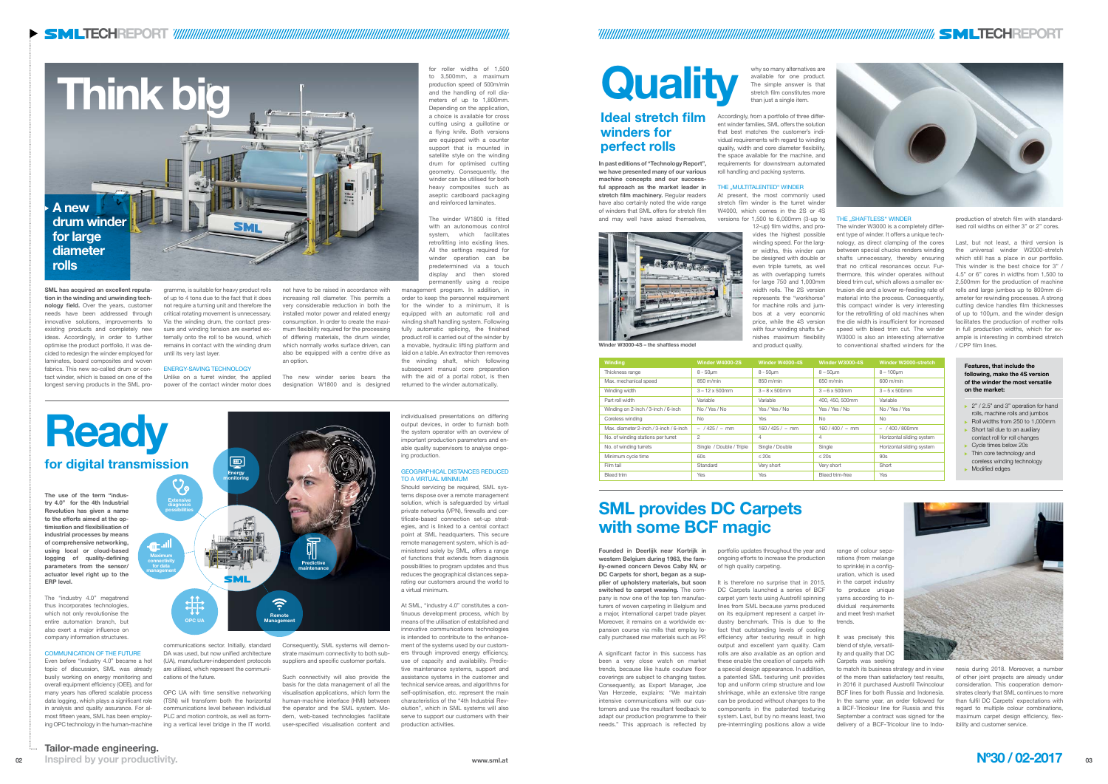## **Ideal stretch film winders for perfect rolls**

**SML has acquired an excellent reputation in the winding and unwinding technology field.** Over the years, customer needs have been addressed through innovative solutions, improvements to existing products and completely new ideas. Accordingly, in order to further optimise the product portfolio, it was decided to redesign the winder employed for laminates, board composites and woven fabrics. This new so-called drum or contact winder, which is based on one of the longest serving products in the SML pro-

Unlike on a turret winder, the applied power of the contact winder motor does

gramme, is suitable for heavy product rolls of up to 4 tons due to the fact that it does not require a turning unit and therefore the critical rotating movement is unnecessary. Via the winding drum, the contact pressure and winding tension are exerted externally onto the roll to be wound, which remains in contact with the winding drum until its very last layer.

#### ENERGY-SAVING TECHNOLOGY

not have to be raised in accordance with increasing roll diameter. This permits a very considerable reduction in both the installed motor power and related energy consumption. In order to create the maximum flexibility required for the processing of differing materials, the drum winder, which normally works surface driven, can also be equipped with a centre drive as an option.

The new winder series bears the designation W1800 and is designed

for roller widths of 1,500 to 3,500mm, a maximum production speed of 500m/min and the handling of roll diameters of up to 1,800mm. Depending on the application, a choice is available for cross cutting using a guillotine or a flying knife. Both versions are equipped with a counter support that is mounted in satellite style on the winding drum for optimised cutting geometry. Consequently, the winder can be utilised for both heavy composites such as aseptic cardboard packaging and reinforced laminates.

The winder W1800 is fitted with an autonomous control system, which facilitates retrofitting into existing lines. All the settings required for winder operation can be predetermined via a touch display and then stored permanently using a recipe

management program. In addition, in order to keep the personnel requirement for the winder to a minimum, it is equipped with an automatic roll and winding shaft handling system. Following fully automatic splicing, the finished product roll is carried out of the winder by a movable, hydraulic lifting platform and laid on a table. An extractor then removes the winding shaft, which following subsequent manual core preparation with the aid of a portal robot, is then returned to the winder automatically.

**The use of the term "industry 4.0" for the 4th Industrial Revolution has given a name to the efforts aimed at the optimisation and flexibilisation of industrial processes by means of comprehensive networking, using local or cloud-based logging of quality-defining parameters from the sensor/ actuator level right up to the ERP level.** 

The "industry 4.0" megatrend thus incorporates technologies, which not only revolutionise the entire automation branch, but also exert a major influence on company information structures.

#### COMMUNICATION OF THE FUTURE

Even before "industry 4.0" became a hot topic of discussion, SML was already busily working on energy monitoring and overall equipment efficiency (OEE), and for many years has offered scalable process data logging, which plays a significant role in analysis and quality assurance. For almost fifteen years, SML has been employing OPC technology in the human-machine

cations of the future.

communications sector. Initially, standard DA was used, but now unified architecture (UA), manufacturer-independent protocols are utilised, which represent the communi-Consequently, SML systems will demonstrate maximum connectivity to both subsuppliers and specific customer portals.

OPC UA with time sensitive networking (TSN) will transform both the horizontal communications level between individual PLC and motion controls, as well as forming a vertical level bridge in the IT world.

**Winding Winder W4000-2S Winder W4000-4S Winder W3000-4S Winder W2000-stretch** Thickness range 8 - 50µm 8 - 50µm 8 - 50µm 8 - 50µm 8 - 50µm 8 - 50µm 8 - 50µm Max. mechanical speed 850 m/min 850 m/min 850 m/min 850 m/min 600 m/min 600 m/min Winding width **3** – 12 x 500mm 3 – 8 x 500mm 3 – 6 x 500mm 3 – 5 x 500mm Part roll width **Variable** Variable **Variable** Variable 400, 450, 500mm Variable Winding on 2-inch / 3-inch / 6-inch | No / Yes / No | Yes / Yes / No | Yes / Yes / No No / Yes / Yes / Yes / Yes / Yes / Yes / Yes / Yes / Yes / Yes / Yes / Yes / Yes / Yes / Yes / Yes / Yes / Yes / Yes / Yes / Yes / Yes / Coreless winding No Yes No No Max. diameter 2-inch / 3-inch / 6-inch – / 425 / – mm 160 / 425 / – mm 160 / 400 / – mm – / 400 / 800mm No. of winding stations per turret  $\begin{vmatrix} 2 & 4 & 4 \end{vmatrix}$  4  $\begin{vmatrix} 4 & 4 \end{vmatrix}$  Horizontal sliding system No. of winding turrets Single / Double / Triple Single / Double Single Single Horizontal sliding system Minimum cycle time 60s  $\leq 20s$   $\leq 20s$  90s Film tail Short Standard Standard Very short Very short Short Short Short Short Bleed trim **Yes** Yes Resetting Presetting Presetting Presetting Presetting Presetting Presetting Presetting Pres

Such connectivity will also provide the basis for the data management of all the visualisation applications, which form the human-machine interface (HMI) between the operator and the SML system. Modern, web-based technologies facilitate user-specified visualisation content and

individualised presentations on differing output devices, in order to furnish both the system operator with an overview of important production parameters and enable quality supervisors to analyse ongoing production.

#### GEOGRAPHICAL DISTANCES REDUCED TO A VIRTUAL MINIMUM

Should servicing be required, SML systems dispose over a remote management solution, which is safeguarded by virtual private networks (VPN), firewalls and certificate-based connection set-up strategies, and is linked to a central contact point at SML headquarters. This secure remote management system, which is administered solely by SML, offers a range of functions that extends from diagnosis possibilities to program updates and thus reduces the geographical distances separating our customers around the world to a virtual minimum.

At SML, "industry 4.0" constitutes a continuous development process, which by means of the utilisation of established and innovative communications technologies is intended to contribute to the enhancement of the systems used by our customers through improved energy efficiency, use of capacity and availability. Predictive maintenance systems, support and assistance systems in the customer and technical service areas, and algorithms for self-optimisation, etc. represent the main characteristics of the "4th Industrial Revolution", which in SML systems will also serve to support our customers with their production activities.

The winder W3000 is a completely different type of winder. It offers a unique technology, as direct clamping of the cores between special chucks renders winding shafts unnecessary, thereby ensuring that no critical resonances occur. Furthermore, this winder operates without bleed trim cut, which allows a smaller extrusion die and a lower re-feeding rate of material into the process. Consequently, this compact winder is very interesting for the retrofitting of old machines when the die width is insufficient for increased speed with bleed trim cut. The winder W3000 is also an interesting alternative Winder W3000-4S – the shaftless model **the interval and product quality.** The state of the the stated winders for the the film lines.

## **SML provides DC Carpets with some BCF magic**

**Founded in Deerlijk near Kortrijk in western Belgium during 1963, the family-owned concern Devos Caby NV, or DC Carpets for short, began as a supplier of upholstery materials, but soon**  It is therefore no surprise that in 2015, **switched to carpet weaving.** The com-DC Carpets launched a series of BCF pany is now one of the top ten manufacturers of woven carpeting in Belgium and a major, international carpet trade player. Moreover, it remains on a worldwide expansion course via mills that employ locally purchased raw materials such as PP.

A significant factor in this success has been a very close watch on market trends, because like haute couture floor coverings are subject to changing tastes. Consequently, as Export Manager, Joe Van Herzeele, explains: "We maintain intensive communications with our customers and use the resultant feedback to adapt our production programme to their needs." This approach is reflected by

portfolio updates throughout the year and ongoing efforts to increase the production of high quality carpeting.

carpet yarn tests using Austrofil spinning lines from SML because yarns produced on its equipment represent a carpet industry benchmark. This is due to the fact that outstanding levels of cooling efficiency after texturing result in high output and excellent yarn quality. Cam rolls are also available as an option and these enable the creation of carpets with a special design appearance. In addition, a patented SML texturing unit provides top and uniform crimp structure and low shrinkage, while an extensive titre range can be produced without changes to the components in the patented texturing system. Last, but by no means least, two pre-intermingling positions allow a wide

range of colour separations (from melange to sprinkle) in a configuration, which is used in the carpet industry to produce unique yarns according to individual requirements and meet fresh market trends.

It was precisely this blend of style, versatility and quality that DC Carpets was seeking

to match its business strategy and in view of the more than satisfactory test results, in 2016 it purchased Austrofil Twincolour BCF lines for both Russia and Indonesia. In the same year, an order followed for a BCF-Tricolour line for Russia and this September a contract was signed for the delivery of a BCF-Tricolour line to Indo-



nesia during 2018. Moreover, a number of other joint projects are already under consideration. This cooperation demonstrates clearly that SML continues to more than fulfil DC Carpets' expectations with regard to multiple colour combinations, maximum carpet design efficiency, flexibility and customer service.

**for digital transmission Ready**

#### **Features, that include the following, make the 4S version of the winder the most versatile on the market:**

- ▶ 2" / 2.5" and 3" operation for hand rolls, machine rolls and jumbos
- Roll widths from 250 to 1,000mm Short tail due to an auxiliary contact roll for roll changes
- Cycle times below 20s
- **Thin core technology and**
- coreless winding technology **Modified edges**



**In past editions of "Technology Report", we have presented many of our various machine concepts and our successful approach as the market leader in**  stretch film machinery. Regular readers have also certainly noted the wide range of winders that SML offers for stretch film and may well have asked themselves,



why so many alternatives are available for one product. The simple answer is that stretch film constitutes more than just a single item.

Accordingly, from a portfolio of three different winder families, SML offers the solution that best matches the customer's individual requirements with regard to winding quality, width and core diameter flexibility, the space available for the machine, and requirements for downstream automated roll handling and packing systems.

#### THE ..MULTITALENTED" WINDER

At present, the most commonly used stretch film winder is the turret winder W4000, which comes in the 2S or 4S versions for 1,500 to 6,000mm (3-up to

12-up) film widths, and provides the highest possible winding speed. For the larger widths, this winder can be designed with double or even triple turrets, as well as with overlapping turrets for large 750 and 1,000mm width rolls. The 2S version represents the "workhorse" for machine rolls and jumbos at a very economic price, while the 4S version with four winding shafts furnishes maximum flexibility and product quality.



#### THE "SHAFTLESS" WINDER

production of stretch film with standardised roll widths on either 3" or 2" cores.

Last, but not least, a third version is the universal winder W2000-stretch which still has a place in our portfolio. This winder is the best choice for 3" / 4.5" or 6" cores in widths from 1,500 to 2,500mm for the production of machine rolls and large jumbos up to 800mm diameter for rewinding processes. A strong cutting device handles film thicknesses of up to 100µm, and the winder design facilitates the production of mother rolls in full production widths, which for example is interesting in combined stretch

**Energy monitoring**

SML

**OPC UA**

 $\begin{picture}(120,17)(-10,17){\line(1,0){15}} \put(10,17){\line(1,0){15}} \put(10,17){\line(1,0){15}} \put(10,17){\line(1,0){15}} \put(10,17){\line(1,0){15}} \put(10,17){\line(1,0){15}} \put(10,17){\line(1,0){15}} \put(10,17){\line(1,0){15}} \put(10,17){\line(1,0){15}} \put(10,17){\line(1,0){15}} \put(10,17){\line(1,0){15}} \$ 

**Predictive maintenance**

**Extensive diagnosis possibilities**

**Maximum connectivity for data management**

**Remote Management**

 $\widehat{\mathfrak{F}}$ 

## **Quality**